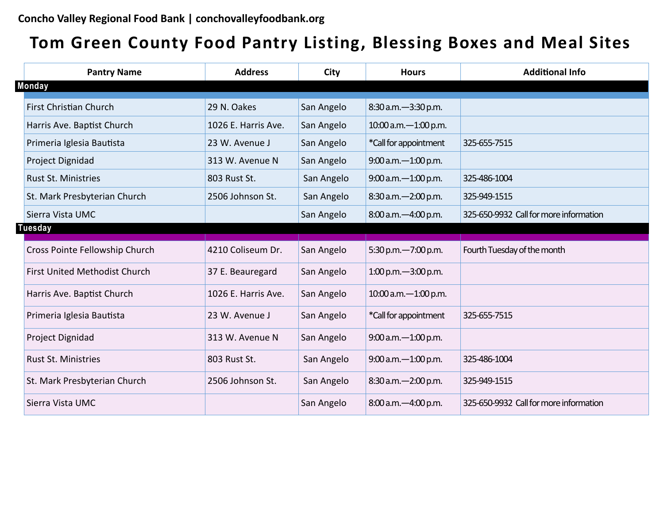## **Tom Green County Food Pantry Listing, Blessing Boxes and Meal Sites**

| <b>Pantry Name</b>             | <b>Address</b>      | City       | <b>Hours</b>           | <b>Additional Info</b>                 |
|--------------------------------|---------------------|------------|------------------------|----------------------------------------|
| <b>Monday</b>                  |                     |            |                        |                                        |
| First Christian Church         | 29 N. Oakes         | San Angelo | 8:30 a.m. - 3:30 p.m.  |                                        |
| Harris Ave. Baptist Church     | 1026 E. Harris Ave. | San Angelo | 10:00 a.m. - 1:00 p.m. |                                        |
| Primeria Iglesia Bautista      | 23 W. Avenue J      | San Angelo | *Call for appointment  | 325-655-7515                           |
| Project Dignidad               | 313 W. Avenue N     | San Angelo | 9:00 a.m. - 1:00 p.m.  |                                        |
| <b>Rust St. Ministries</b>     | 803 Rust St.        | San Angelo | 9:00 a.m. - 1:00 p.m.  | 325-486-1004                           |
| St. Mark Presbyterian Church   | 2506 Johnson St.    | San Angelo | 8:30 a.m. - 2:00 p.m.  | 325-949-1515                           |
| Sierra Vista UMC               |                     | San Angelo | 8:00 a.m. -4:00 p.m.   | 325-650-9932 Call for more information |
| Tuesday                        |                     |            |                        |                                        |
| Cross Pointe Fellowship Church | 4210 Coliseum Dr.   | San Angelo | 5:30 p.m. -7:00 p.m.   | Fourth Tuesday of the month            |
| First United Methodist Church  | 37 E. Beauregard    | San Angelo | 1:00 p.m. $-3:00$ p.m. |                                        |
| Harris Ave. Baptist Church     | 1026 E. Harris Ave. | San Angelo | 10:00 a.m. - 1:00 p.m. |                                        |
| Primeria Iglesia Bautista      | 23 W. Avenue J      | San Angelo | *Call for appointment  | 325-655-7515                           |
| Project Dignidad               | 313 W. Avenue N     | San Angelo | 9:00 a.m. - 1:00 p.m.  |                                        |
| <b>Rust St. Ministries</b>     | 803 Rust St.        | San Angelo | 9:00 a.m. - 1:00 p.m.  | 325-486-1004                           |
| St. Mark Presbyterian Church   | 2506 Johnson St.    | San Angelo | 8:30 a.m. - 2:00 p.m.  | 325-949-1515                           |
| Sierra Vista UMC               |                     | San Angelo | 8:00 a.m. -4:00 p.m.   | 325-650-9932 Call for more information |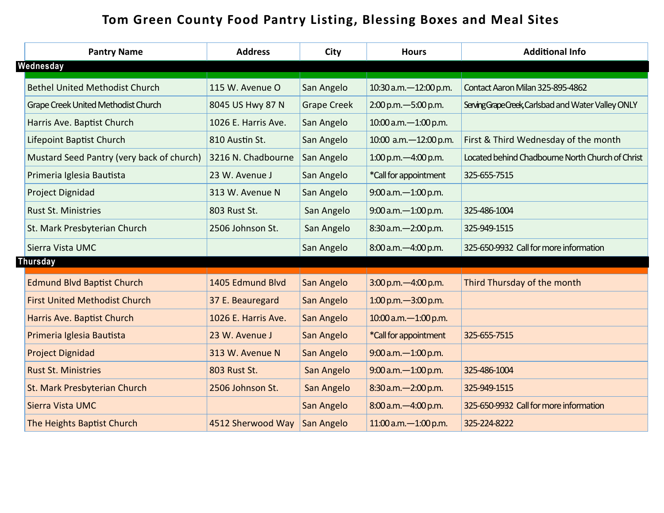## **Tom Green County Food Pantry Listing, Blessing Boxes and Meal Sites**

|  | <b>Pantry Name</b>                        | <b>Address</b>      | <b>City</b>        | <b>Hours</b>              | <b>Additional Info</b>                              |
|--|-------------------------------------------|---------------------|--------------------|---------------------------|-----------------------------------------------------|
|  | Wednesday                                 |                     |                    |                           |                                                     |
|  | <b>Bethel United Methodist Church</b>     | 115 W. Avenue O     | San Angelo         | 10:30 a.m. - 12:00 p.m.   | Contact Aaron Milan 325-895-4862                    |
|  | Grape Creek United Methodist Church       | 8045 US Hwy 87 N    | <b>Grape Creek</b> | 2:00 p.m. - 5:00 p.m.     | Serving Grape Creek, Carlsbad and Water Valley ONLY |
|  | Harris Ave. Baptist Church                | 1026 E. Harris Ave. | San Angelo         | 10:00 a.m. - 1:00 p.m.    |                                                     |
|  | Lifepoint Baptist Church                  | 810 Austin St.      | San Angelo         | 10:00 a.m. - 12:00 p.m.   | First & Third Wednesday of the month                |
|  | Mustard Seed Pantry (very back of church) | 3216 N. Chadbourne  | San Angelo         | $1:00$ p.m. $-4:00$ p.m.  | Located behind Chadbourne North Church of Christ    |
|  | Primeria Iglesia Bautista                 | 23 W. Avenue J      | San Angelo         | *Call for appointment     | 325-655-7515                                        |
|  | Project Dignidad                          | 313 W. Avenue N     | San Angelo         | 9:00 a.m. - 1:00 p.m.     |                                                     |
|  | <b>Rust St. Ministries</b>                | 803 Rust St.        | San Angelo         | 9:00 a.m. - 1:00 p.m.     | 325-486-1004                                        |
|  | St. Mark Presbyterian Church              | 2506 Johnson St.    | San Angelo         | 8:30 a.m. - 2:00 p.m.     | 325-949-1515                                        |
|  | Sierra Vista UMC                          |                     | San Angelo         | 8:00 a.m. -4:00 p.m.      | 325-650-9932 Call for more information              |
|  | <b>Thursday</b>                           |                     |                    |                           |                                                     |
|  | <b>Edmund Blvd Baptist Church</b>         | 1405 Edmund Blvd    | San Angelo         | 3:00 p.m. -4:00 p.m.      | Third Thursday of the month                         |
|  | <b>First United Methodist Church</b>      | 37 E. Beauregard    | San Angelo         | $1:00$ p.m. $-3:00$ p.m.  |                                                     |
|  | Harris Ave. Baptist Church                | 1026 E. Harris Ave. | San Angelo         | 10:00 a.m. - 1:00 p.m.    |                                                     |
|  | Primeria Iglesia Bautista                 | 23 W. Avenue J      | San Angelo         | *Call for appointment     | 325-655-7515                                        |
|  | <b>Project Dignidad</b>                   | 313 W. Avenue N     | San Angelo         | $9:00$ a.m. $-1:00$ p.m.  |                                                     |
|  | <b>Rust St. Ministries</b>                | 803 Rust St.        | San Angelo         | 9:00 a.m. - 1:00 p.m.     | 325-486-1004                                        |
|  | St. Mark Presbyterian Church              | 2506 Johnson St.    | San Angelo         | 8:30 a.m. - 2:00 p.m.     | 325-949-1515                                        |
|  | Sierra Vista UMC                          |                     | San Angelo         | 8:00 a.m. - 4:00 p.m.     | 325-650-9932 Call for more information              |
|  | The Heights Baptist Church                | 4512 Sherwood Way   | San Angelo         | $11:00$ a.m. $-1:00$ p.m. | 325-224-8222                                        |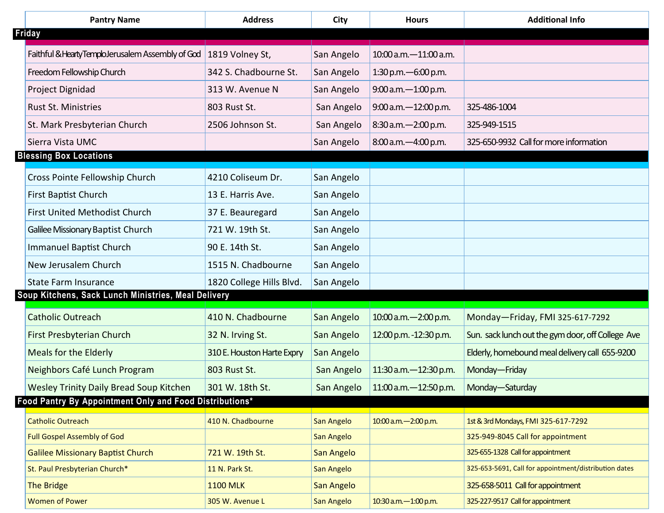| <b>Pantry Name</b>                                      | <b>Address</b>             | City       | <b>Hours</b>              | <b>Additional Info</b>                                |
|---------------------------------------------------------|----------------------------|------------|---------------------------|-------------------------------------------------------|
| Friday                                                  |                            |            |                           |                                                       |
| Faithful & Hearty TemploJerusalem Assembly of God       | 1819 Volney St,            | San Angelo | 10:00 a.m. - 11:00 a.m.   |                                                       |
| Freedom Fellowship Church                               | 342 S. Chadbourne St.      | San Angelo | 1:30 p.m. - 6:00 p.m.     |                                                       |
| Project Dignidad                                        | 313 W. Avenue N            | San Angelo | 9:00 a.m. - 1:00 p.m.     |                                                       |
| <b>Rust St. Ministries</b>                              | 803 Rust St.               | San Angelo | $9:00$ a.m. $-12:00$ p.m. | 325-486-1004                                          |
| St. Mark Presbyterian Church                            | 2506 Johnson St.           | San Angelo | $8:30$ a.m. $-2:00$ p.m.  | 325-949-1515                                          |
| Sierra Vista UMC                                        |                            | San Angelo | 8:00 a.m. -4:00 p.m.      | 325-650-9932 Call for more information                |
| <b>Blessing Box Locations</b>                           |                            |            |                           |                                                       |
| Cross Pointe Fellowship Church                          | 4210 Coliseum Dr.          | San Angelo |                           |                                                       |
| <b>First Baptist Church</b>                             | 13 E. Harris Ave.          | San Angelo |                           |                                                       |
| <b>First United Methodist Church</b>                    | 37 E. Beauregard           | San Angelo |                           |                                                       |
| Galilee Missionary Baptist Church                       | 721 W. 19th St.            | San Angelo |                           |                                                       |
| <b>Immanuel Baptist Church</b>                          | 90 E. 14th St.             | San Angelo |                           |                                                       |
| New Jerusalem Church                                    | 1515 N. Chadbourne         | San Angelo |                           |                                                       |
| <b>State Farm Insurance</b>                             | 1820 College Hills Blvd.   | San Angelo |                           |                                                       |
| Soup Kitchens, Sack Lunch Ministries, Meal Delivery     |                            |            |                           |                                                       |
| <b>Catholic Outreach</b>                                | 410 N. Chadbourne          | San Angelo | $10:00$ a.m. $-2:00$ p.m. | Monday-Friday, FMI 325-617-7292                       |
| First Presbyterian Church                               | 32 N. Irving St.           | San Angelo | 12:00 p.m. -12:30 p.m.    | Sun. sack lunch out the gym door, off College Ave     |
| Meals for the Elderly                                   | 310 E. Houston Harte Expry | San Angelo |                           | Elderly, homebound meal delivery call 655-9200        |
| Neighbors Café Lunch Program                            | 803 Rust St.               | San Angelo | 11:30 a.m. - 12:30 p.m.   | Monday-Friday                                         |
| <b>Wesley Trinity Daily Bread Soup Kitchen</b>          | 301 W. 18th St.            | San Angelo | 11:00 a.m. - 12:50 p.m.   | Monday-Saturday                                       |
| Food Pantry By Appointment Only and Food Distributions* |                            |            |                           |                                                       |
| <b>Catholic Outreach</b>                                | 410 N. Chadbourne          | San Angelo | 10:00 a.m. - 2:00 p.m.    | 1st & 3rd Mondays, FMI 325-617-7292                   |
| <b>Full Gospel Assembly of God</b>                      |                            | San Angelo |                           | 325-949-8045 Call for appointment                     |
| <b>Galilee Missionary Baptist Church</b>                | 721 W. 19th St.            | San Angelo |                           | 325-655-1328 Call for appointment                     |
| St. Paul Presbyterian Church*                           | 11 N. Park St.             | San Angelo |                           | 325-653-5691, Call for appointment/distribution dates |
| <b>The Bridge</b>                                       | <b>1100 MLK</b>            | San Angelo |                           | 325-658-5011 Call for appointment                     |
| <b>Women of Power</b>                                   | 305 W. Avenue L            | San Angelo | 10:30 a.m. - 1:00 p.m.    | 325-227-9517 Call for appointment                     |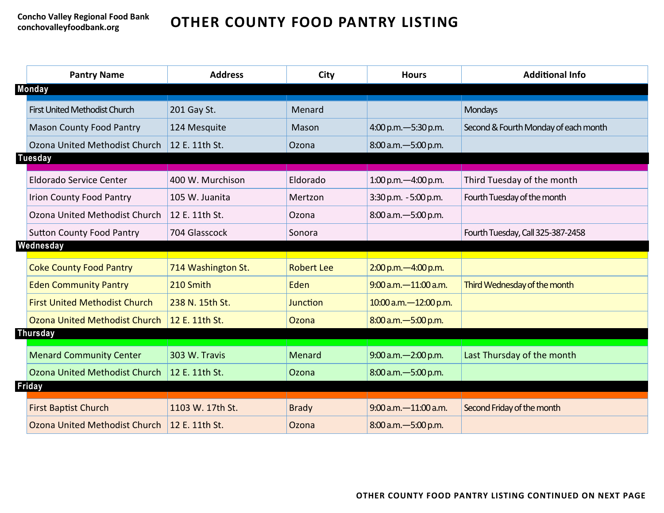## **OTHER COUNTY FOOD PANTRY LISTING**

|                | <b>Pantry Name</b>                   | <b>Address</b>     | City              | <b>Hours</b>              | <b>Additional Info</b>               |
|----------------|--------------------------------------|--------------------|-------------------|---------------------------|--------------------------------------|
|                | <b>Monday</b>                        |                    |                   |                           |                                      |
|                | First United Methodist Church        | 201 Gay St.        | Menard            |                           | <b>Mondays</b>                       |
|                | <b>Mason County Food Pantry</b>      | 124 Mesquite       | Mason             | 4:00 p.m. - 5:30 p.m.     | Second & Fourth Monday of each month |
|                | Ozona United Methodist Church        | 12 E. 11th St.     | Ozona             | 8:00 a.m. - 5:00 p.m.     |                                      |
| <b>Tuesday</b> |                                      |                    |                   |                           |                                      |
|                | <b>Eldorado Service Center</b>       | 400 W. Murchison   | Eldorado          | 1:00 p.m. - 4:00 p.m.     | Third Tuesday of the month           |
|                | <b>Irion County Food Pantry</b>      | 105 W. Juanita     | Mertzon           | 3:30 p.m. - 5:00 p.m.     | Fourth Tuesday of the month          |
|                | Ozona United Methodist Church        | 12 E. 11th St.     | Ozona             | 8:00 a.m. - 5:00 p.m.     |                                      |
|                | <b>Sutton County Food Pantry</b>     | 704 Glasscock      | Sonora            |                           | Fourth Tuesday, Call 325-387-2458    |
|                | Wednesday                            |                    |                   |                           |                                      |
|                | <b>Coke County Food Pantry</b>       | 714 Washington St. | <b>Robert Lee</b> | 2:00 p.m. -4:00 p.m.      |                                      |
|                | <b>Eden Community Pantry</b>         | 210 Smith          | Eden              | $9:00$ a.m. $-11:00$ a.m. | Third Wednesday of the month         |
|                | <b>First United Methodist Church</b> | 238 N. 15th St.    | Junction          | 10:00 a.m. - 12:00 p.m.   |                                      |
|                | <b>Ozona United Methodist Church</b> | 12 E. 11th St.     | Ozona             | 8:00 a.m. - 5:00 p.m.     |                                      |
|                | <b>Thursday</b>                      |                    |                   |                           |                                      |
|                | <b>Menard Community Center</b>       | 303 W. Travis      | Menard            | $9:00$ a.m. $-2:00$ p.m.  | Last Thursday of the month           |
|                | Ozona United Methodist Church        | 12 E. 11th St.     | Ozona             | 8:00 a.m. - 5:00 p.m.     |                                      |
|                | <b>Friday</b>                        |                    |                   |                           |                                      |
|                | <b>First Baptist Church</b>          | 1103 W. 17th St.   | <b>Brady</b>      | $9:00$ a.m. $-11:00$ a.m. | Second Friday of the month           |
|                | Ozona United Methodist Church        | 12 E. 11th St.     | Ozona             | 8:00 a.m. - 5:00 p.m.     |                                      |